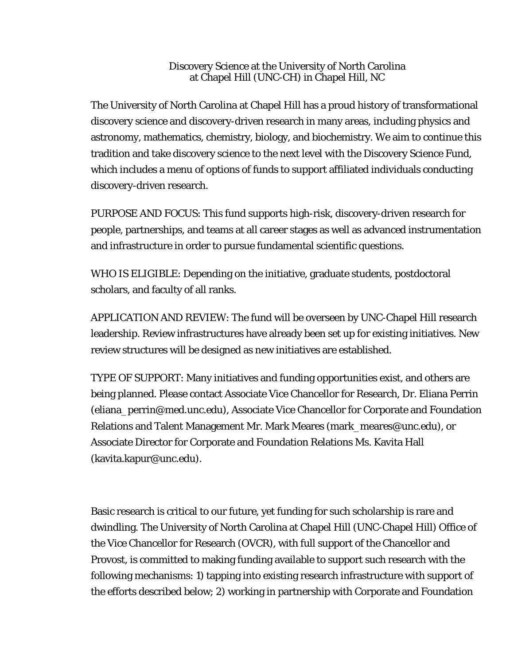## Discovery Science at the University of North Carolina at Chapel Hill (UNC-CH) in Chapel Hill, NC

The University of North Carolina at Chapel Hill has a proud history of transformational discovery science and discovery-driven research in many areas, including physics and astronomy, mathematics, chemistry, biology, and biochemistry. We aim to continue this tradition and take discovery science to the next level with the Discovery Science Fund, which includes a menu of options of funds to support affiliated individuals conducting discovery-driven research.

PURPOSE AND FOCUS: This fund supports high-risk, discovery-driven research for people, partnerships, and teams at all career stages as well as advanced instrumentation and infrastructure in order to pursue fundamental scientific questions.

WHO IS ELIGIBLE: Depending on the initiative, graduate students, postdoctoral scholars, and faculty of all ranks.

APPLICATION AND REVIEW: The fund will be overseen by UNC-Chapel Hill research leadership. Review infrastructures have already been set up for existing initiatives. New review structures will be designed as new initiatives are established.

TYPE OF SUPPORT: Many initiatives and funding opportunities exist, and others are being planned. Please contact Associate Vice Chancellor for Research, Dr. Eliana Perrin (eliana\_perrin@med.unc.edu), Associate Vice Chancellor for Corporate and Foundation Relations and Talent Management Mr. Mark Meares (mark\_meares@unc.edu), or Associate Director for Corporate and Foundation Relations Ms. Kavita Hall (kavita.kapur@unc.edu).

Basic research is critical to our future, yet funding for such scholarship is rare and dwindling. The University of North Carolina at Chapel Hill (UNC-Chapel Hill) Office of the Vice Chancellor for Research (OVCR), with full support of the Chancellor and Provost, is committed to making funding available to support such research with the following mechanisms: 1) tapping into existing research infrastructure with support of the efforts described below; 2) working in partnership with Corporate and Foundation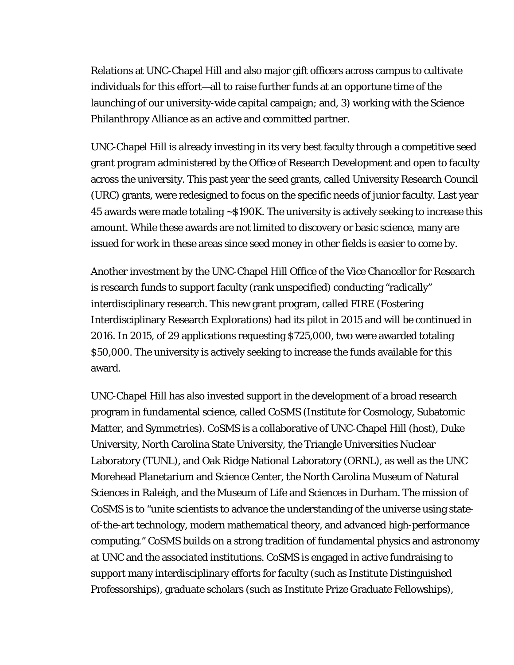Relations at UNC-Chapel Hill and also major gift officers across campus to cultivate individuals for this effort—all to raise further funds at an opportune time of the launching of our university-wide capital campaign; and, 3) working with the Science Philanthropy Alliance as an active and committed partner.

UNC-Chapel Hill is already investing in its very best faculty through a competitive seed grant program administered by the Office of Research Development and open to faculty across the university. This past year the seed grants, called University Research Council (URC) grants, were redesigned to focus on the specific needs of junior faculty. Last year 45 awards were made totaling ~\$190K. The university is actively seeking to increase this amount. While these awards are not limited to discovery or basic science, many are issued for work in these areas since seed money in other fields is easier to come by.

Another investment by the UNC-Chapel Hill Office of the Vice Chancellor for Research is research funds to support faculty (rank unspecified) conducting "radically" interdisciplinary research. This new grant program, called FIRE (Fostering Interdisciplinary Research Explorations) had its pilot in 2015 and will be continued in 2016. In 2015, of 29 applications requesting \$725,000, two were awarded totaling \$50,000. The university is actively seeking to increase the funds available for this award.

UNC-Chapel Hill has also invested support in the development of a broad research program in fundamental science, called CoSMS (Institute for Cosmology, Subatomic Matter, and Symmetries). CoSMS is a collaborative of UNC-Chapel Hill (host), Duke University, North Carolina State University, the Triangle Universities Nuclear Laboratory (TUNL), and Oak Ridge National Laboratory (ORNL), as well as the UNC Morehead Planetarium and Science Center, the North Carolina Museum of Natural Sciences in Raleigh, and the Museum of Life and Sciences in Durham. The mission of CoSMS is to "unite scientists to advance the understanding of the universe using stateof-the-art technology, modern mathematical theory, and advanced high-performance computing." CoSMS builds on a strong tradition of fundamental physics and astronomy at UNC and the associated institutions. CoSMS is engaged in active fundraising to support many interdisciplinary efforts for faculty (such as Institute Distinguished Professorships), graduate scholars (such as Institute Prize Graduate Fellowships),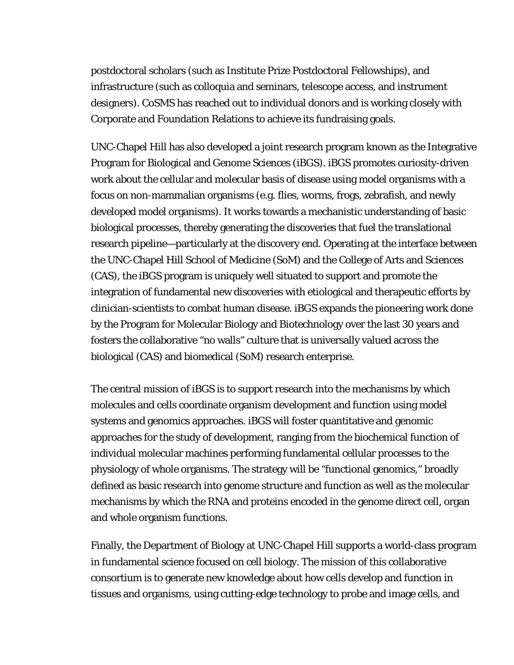postdoctoral scholars (such as Institute Prize Postdoctoral Fellowships), and infrastructure (such as colloquia and seminars, telescope access, and instrument designers). CoSMS has reached out to individual donors and is working closely with Corporate and Foundation Relations to achieve its fundraising goals.

UNC-Chapel Hill has also developed a joint research program known as the Integrative Program for Biological and Genome Sciences (iBGS). iBGS promotes curiosity-driven work about the cellular and molecular basis of disease using model organisms with a focus on non-mammalian organisms (e.g. flies, worms, frogs, zebrafish, and newly developed model organisms). It works towards a mechanistic understanding of basic biological processes, thereby generating the discoveries that fuel the translational research pipeline—particularly at the discovery end. Operating at the interface between the UNC-Chapel Hill School of Medicine (SoM) and the College of Arts and Sciences (CAS), the iBGS program is uniquely well situated to support and promote the integration of fundamental new discoveries with etiological and therapeutic efforts by clinician-scientists to combat human disease. iBGS expands the pioneering work done by the Program for Molecular Biology and Biotechnology over the last 30 years and fosters the collaborative "no walls" culture that is universally valued across the biological (CAS) and biomedical (SoM) research enterprise.

The central mission of iBGS is to support research into the mechanisms by which molecules and cells coordinate organism development and function using model systems and genomics approaches. iBGS will foster quantitative and genomic approaches for the study of development, ranging from the biochemical function of individual molecular machines performing fundamental cellular processes to the physiology of whole organisms. The strategy will be "functional genomics," broadly defined as basic research into genome structure and function as well as the molecular mechanisms by which the RNA and proteins encoded in the genome direct cell, organ and whole organism functions.

Finally, the Department of Biology at UNC-Chapel Hill supports a world-class program in fundamental science focused on cell biology. The mission of this collaborative consortium is to generate new knowledge about how cells develop and function in tissues and organisms, using cutting-edge technology to probe and image cells, and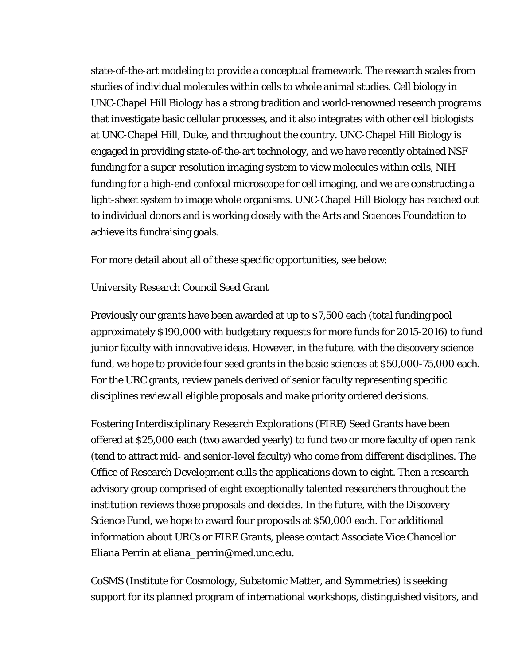state-of-the-art modeling to provide a conceptual framework. The research scales from studies of individual molecules within cells to whole animal studies. Cell biology in UNC-Chapel Hill Biology has a strong tradition and world-renowned research programs that investigate basic cellular processes, and it also integrates with other cell biologists at UNC-Chapel Hill, Duke, and throughout the country. UNC-Chapel Hill Biology is engaged in providing state-of-the-art technology, and we have recently obtained NSF funding for a super-resolution imaging system to view molecules within cells, NIH funding for a high-end confocal microscope for cell imaging, and we are constructing a light-sheet system to image whole organisms. UNC-Chapel Hill Biology has reached out to individual donors and is working closely with the Arts and Sciences Foundation to achieve its fundraising goals.

For more detail about all of these specific opportunities, see below:

## University Research Council Seed Grant

Previously our grants have been awarded at up to \$7,500 each (total funding pool approximately \$190,000 with budgetary requests for more funds for 2015-2016) to fund junior faculty with innovative ideas. However, in the future, with the discovery science fund, we hope to provide four seed grants in the basic sciences at \$50,000-75,000 each. For the URC grants, review panels derived of senior faculty representing specific disciplines review all eligible proposals and make priority ordered decisions.

Fostering Interdisciplinary Research Explorations (FIRE) Seed Grants have been offered at \$25,000 each (two awarded yearly) to fund two or more faculty of open rank (tend to attract mid- and senior-level faculty) who come from different disciplines. The Office of Research Development culls the applications down to eight. Then a research advisory group comprised of eight exceptionally talented researchers throughout the institution reviews those proposals and decides. In the future, with the Discovery Science Fund, we hope to award four proposals at \$50,000 each. For additional information about URCs or FIRE Grants, please contact Associate Vice Chancellor Eliana Perrin at eliana\_perrin@med.unc.edu.

CoSMS (Institute for Cosmology, Subatomic Matter, and Symmetries) is seeking support for its planned program of international workshops, distinguished visitors, and